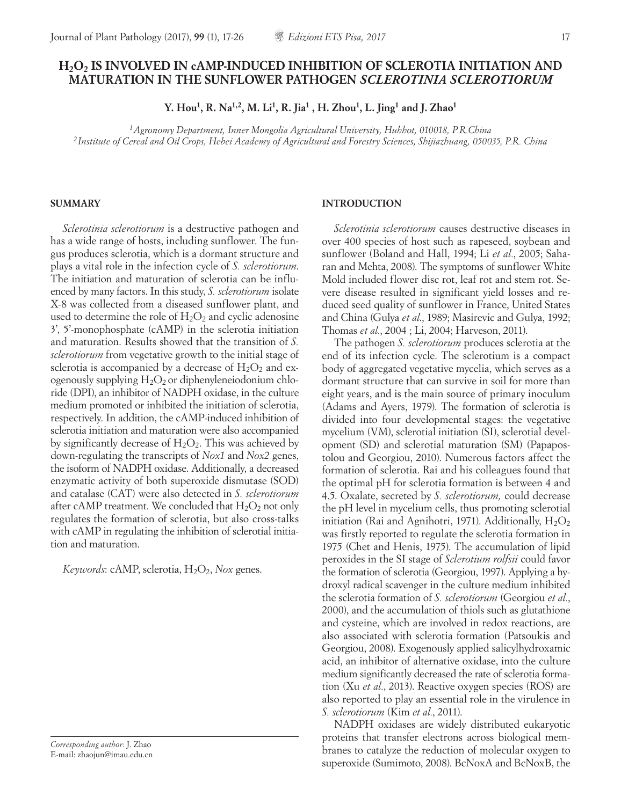# **H2O2 IS INVOLVED IN cAMP-INDUCED INHIBITION OF SCLEROTIA INITIATION AND MATURATION IN THE SUNFLOWER PATHOGEN** *SCLEROTINIA SCLEROTIORUM*

**Y. Hou1, R. Na1,2, M. Li1, R. Jia1 , H. Zhou1, L. Jing1 and J. Zhao1**

*1Agronomy Department, Inner Mongolia Agricultural University, Huhhot, 010018, P.R.China <sup>2</sup> Institute of Cereal and Oil Crops, Hebei Academy of Agricultural and Forestry Sciences, Shijiazhuang, 050035, P.R. China*

#### **SUMMARY**

*Sclerotinia sclerotiorum* is a destructive pathogen and has a wide range of hosts, including sunflower. The fungus produces sclerotia, which is a dormant structure and plays a vital role in the infection cycle of *S. sclerotiorum*. The initiation and maturation of sclerotia can be influenced by many factors. In this study, *S. sclerotiorum* isolate X-8 was collected from a diseased sunflower plant, and used to determine the role of  $H_2O_2$  and cyclic adenosine 3', 5'-monophosphate (cAMP) in the sclerotia initiation and maturation. Results showed that the transition of *S. sclerotiorum* from vegetative growth to the initial stage of sclerotia is accompanied by a decrease of  $H_2O_2$  and exogenously supplying  $H_2O_2$  or diphenyleneiodonium chloride (DPI), an inhibitor of NADPH oxidase, in the culture medium promoted or inhibited the initiation of sclerotia, respectively. In addition, the cAMP-induced inhibition of sclerotia initiation and maturation were also accompanied by significantly decrease of  $H_2O_2$ . This was achieved by down-regulating the transcripts of *Nox1* and *Nox2* genes, the isoform of NADPH oxidase. Additionally, a decreased enzymatic activity of both superoxide dismutase (SOD) and catalase (CAT) were also detected in *S. sclerotiorum*  after cAMP treatment. We concluded that  $H_2O_2$  not only regulates the formation of sclerotia, but also cross-talks with cAMP in regulating the inhibition of sclerotial initiation and maturation.

*Keywords*: cAMP, sclerotia, H<sub>2</sub>O<sub>2</sub>, *Nox genes.* 

*Corresponding author*: J. Zhao E-mail: zhaojun@imau.edu.cn

## **INTRODUCTION**

*Sclerotinia sclerotiorum* causes destructive diseases in over 400 species of host such as rapeseed, soybean and sunflower (Boland and Hall, 1994; Li *et al.*, 2005; Saharan and Mehta, 2008). The symptoms of sunflower White Mold included flower disc rot, leaf rot and stem rot. Severe disease resulted in significant yield losses and reduced seed quality of sunflower in France, United States and China (Gulya *et al*., 1989; Masirevic and Gulya, 1992; Thomas *et al.*, 2004 ; Li, 2004; Harveson, 2011).

The pathogen *S. sclerotiorum* produces sclerotia at the end of its infection cycle. The sclerotium is a compact body of aggregated vegetative mycelia, which serves as a dormant structure that can survive in soil for more than eight years, and is the main source of primary inoculum (Adams and Ayers, 1979). The formation of sclerotia is divided into four developmental stages: the vegetative mycelium (VM), sclerotial initiation (SI), sclerotial development (SD) and sclerotial maturation (SM) (Papapostolou and Georgiou, 2010). Numerous factors affect the formation of sclerotia. Rai and his colleagues found that the optimal pH for sclerotia formation is between 4 and 4.5. Oxalate, secreted by *S. sclerotiorum,* could decrease the pH level in mycelium cells, thus promoting sclerotial initiation (Rai and Agnihotri, 1971). Additionally,  $H_2O_2$ was firstly reported to regulate the sclerotia formation in 1975 (Chet and Henis, 1975). The accumulation of lipid peroxides in the SI stage of *Sclerotium rolfsii* could favor the formation of sclerotia (Georgiou, 1997). Applying a hydroxyl radical scavenger in the culture medium inhibited the sclerotia formation of *S. sclerotiorum* (Georgiou *et al.*, 2000), and the accumulation of thiols such as glutathione and cysteine, which are involved in redox reactions, are also associated with sclerotia formation (Patsoukis and Georgiou, 2008). Exogenously applied salicylhydroxamic acid, an inhibitor of alternative oxidase, into the culture medium significantly decreased the rate of sclerotia formation (Xu *et al.*, 2013). Reactive oxygen species (ROS) are also reported to play an essential role in the virulence in *S. sclerotiorum* (Kim *et al.*, 2011).

NADPH oxidases are widely distributed eukaryotic proteins that transfer electrons across biological membranes to catalyze the reduction of molecular oxygen to superoxide (Sumimoto, 2008). BcNoxA and BcNoxB, the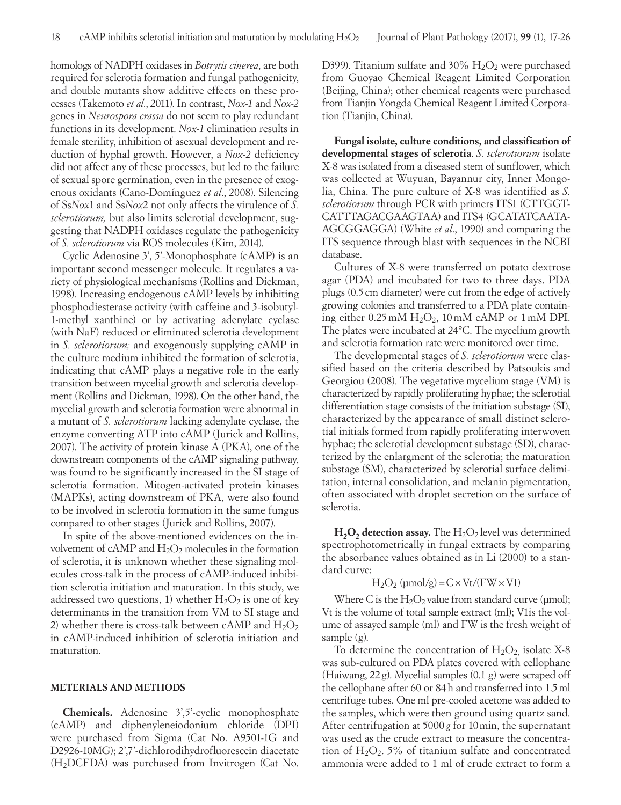homologs of NADPH oxidases in *Botrytis cinerea*, are both required for sclerotia formation and fungal pathogenicity, and double mutants show additive effects on these processes (Takemoto *et al.*, 2011). In contrast, *Nox-1* and *Nox-2*  genes in *Neurospora crassa* do not seem to play redundant functions in its development. *Nox-1* elimination results in female sterility, inhibition of asexual development and reduction of hyphal growth. However, a *Nox-2* deficiency did not affect any of these processes, but led to the failure of sexual spore germination, even in the presence of exogenous oxidants (Cano-Domínguez *et al.*, 2008). Silencing of Ss*Nox*1 and Ss*Nox*2 not only affects the virulence of *S. sclerotiorum,* but also limits sclerotial development, suggesting that NADPH oxidases regulate the pathogenicity of *S. sclerotiorum* via ROS molecules (Kim, 2014).

Cyclic Adenosine 3', 5'-Monophosphate (cAMP) is an important second messenger molecule. It regulates a variety of physiological mechanisms (Rollins and Dickman, 1998). Increasing endogenous cAMP levels by inhibiting phosphodiesterase activity (with caffeine and 3-isobutyl-1-methyl xanthine) or by activating adenylate cyclase (with NaF) reduced or eliminated sclerotia development in *S. sclerotiorum;* and exogenously supplying cAMP in the culture medium inhibited the formation of sclerotia, indicating that cAMP plays a negative role in the early transition between mycelial growth and sclerotia development (Rollins and Dickman, 1998). On the other hand, the mycelial growth and sclerotia formation were abnormal in a mutant of *S. sclerotiorum* lacking adenylate cyclase, the enzyme converting ATP into cAMP (Jurick and Rollins, 2007). The activity of protein kinase A (PKA), one of the downstream components of the cAMP signaling pathway, was found to be significantly increased in the SI stage of sclerotia formation. Mitogen-activated protein kinases (MAPKs), acting downstream of PKA, were also found to be involved in sclerotia formation in the same fungus compared to other stages (Jurick and Rollins, 2007).

In spite of the above-mentioned evidences on the involvement of cAMP and  $H_2O_2$  molecules in the formation of sclerotia, it is unknown whether these signaling molecules cross-talk in the process of cAMP-induced inhibition sclerotia initiation and maturation. In this study, we addressed two questions, 1) whether  $H_2O_2$  is one of key determinants in the transition from VM to SI stage and 2) whether there is cross-talk between cAMP and  $H_2O_2$ in cAMP-induced inhibition of sclerotia initiation and maturation.

## **METERIALS AND METHODS**

**Chemicals.** Adenosine 3',5'-cyclic monophosphate (cAMP) and diphenyleneiodonium chloride (DPI) were purchased from Sigma (Cat No. A9501-1G and D2926-10MG); 2',7'-dichlorodihydrofluorescein diacetate (H2DCFDA) was purchased from Invitrogen (Cat No. D399). Titanium sulfate and  $30\%$   $H_2O_2$  were purchased from Guoyao Chemical Reagent Limited Corporation (Beijing, China); other chemical reagents were purchased from Tianjin Yongda Chemical Reagent Limited Corporation (Tianjin, China).

**Fungal isolate, culture conditions, and classification of developmental stages of sclerotia**. *S. sclerotiorum* isolate X-8 was isolated from a diseased stem of sunflower, which was collected at Wuyuan, Bayannur city, Inner Mongolia, China. The pure culture of X-8 was identified as *S. sclerotiorum* through PCR with primers ITS1 (CTTGGT-CATTTAGACGAAGTAA) and ITS4 (GCATATCAATA-AGCGGAGGA) (White *et al*., 1990) and comparing the ITS sequence through blast with sequences in the NCBI database.

Cultures of X-8 were transferred on potato dextrose agar (PDA) and incubated for two to three days. PDA plugs (0.5cm diameter) were cut from the edge of actively growing colonies and transferred to a PDA plate containing either  $0.25 \text{ mM } H_2O_2$ ,  $10 \text{ mM } c\text{AMP}$  or  $1 \text{ mM } DPI$ . The plates were incubated at 24°C. The mycelium growth and sclerotia formation rate were monitored over time.

The developmental stages of *S. sclerotiorum* were classified based on the criteria described by Patsoukis and Georgiou (2008)*.* The vegetative mycelium stage (VM) is characterized by rapidly proliferating hyphae; the sclerotial differentiation stage consists of the initiation substage (SI), characterized by the appearance of small distinct sclerotial initials formed from rapidly proliferating interwoven hyphae; the sclerotial development substage (SD), characterized by the enlargment of the sclerotia; the maturation substage (SM), characterized by sclerotial surface delimitation, internal consolidation, and melanin pigmentation, often associated with droplet secretion on the surface of sclerotia.

 $H_2O_2$  detection assay. The  $H_2O_2$  level was determined spectrophotometrically in fungal extracts by comparing the absorbance values obtained as in Li (2000) to a standard curve:

## $H_2O_2$  (umol/g) =  $C \times Vt/(FW \times V1)$

Where C is the  $H_2O_2$  value from standard curve (µmol); Vt is the volume of total sample extract (ml); V1is the volume of assayed sample (ml) and FW is the fresh weight of sample (g).

To determine the concentration of  $H_2O_2$  isolate X-8 was sub-cultured on PDA plates covered with cellophane (Haiwang, 22g). Mycelial samples (0.1 g) were scraped off the cellophane after 60 or 84h and transferred into 1.5ml centrifuge tubes. One ml pre-cooled acetone was added to the samples, which were then ground using quartz sand. After centrifugation at 5000*g* for 10min, the supernatant was used as the crude extract to measure the concentration of  $H_2O_2$ . 5% of titanium sulfate and concentrated ammonia were added to 1 ml of crude extract to form a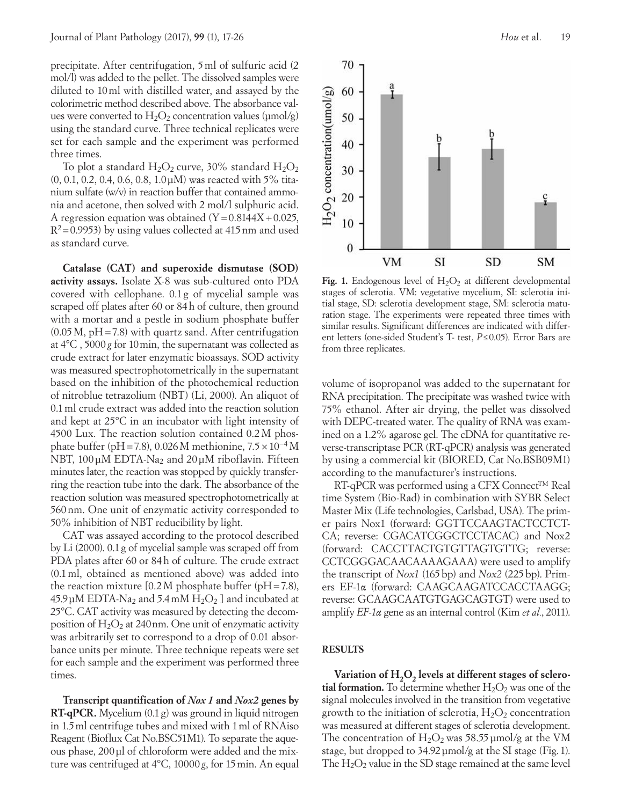precipitate. After centrifugation, 5ml of sulfuric acid (2 mol/l) was added to the pellet. The dissolved samples were diluted to 10ml with distilled water, and assayed by the colorimetric method described above. The absorbance values were converted to  $H_2O_2$  concentration values ( $\mu$ mol/g) using the standard curve. Three technical replicates were set for each sample and the experiment was performed three times.

To plot a standard  $H_2O_2$  curve, 30% standard  $H_2O_2$ (0, 0.1, 0.2, 0.4, 0.6, 0.8, 1.0μM) was reacted with 5% titanium sulfate (w/v) in reaction buffer that contained ammonia and acetone, then solved with 2 mol/l sulphuric acid. A regression equation was obtained  $(Y=0.8144X+0.025,$  $R^2$ =0.9953) by using values collected at 415 nm and used as standard curve.

**Catalase (CAT) and superoxide dismutase (SOD) activity assays.** Isolate X-8 was sub-cultured onto PDA covered with cellophane. 0.1 g of mycelial sample was scraped off plates after 60 or 84h of culture, then ground with a mortar and a pestle in sodium phosphate buffer  $(0.05 M, pH=7.8)$  with quartz sand. After centrifugation at 4°C , 5000*g* for 10min, the supernatant was collected as crude extract for later enzymatic bioassays. SOD activity was measured spectrophotometrically in the supernatant based on the inhibition of the photochemical reduction of nitroblue tetrazolium (NBT) (Li, 2000). An aliquot of 0.1ml crude extract was added into the reaction solution and kept at 25°C in an incubator with light intensity of 4500 Lux. The reaction solution contained 0.2M phosphate buffer (pH=7.8), 0.026 M methionine,  $7.5 \times 10^{-4}$  M NBT,  $100 \mu$ M EDTA-Na<sub>2</sub> and  $20 \mu$ M riboflavin. Fifteen minutes later, the reaction was stopped by quickly transferring the reaction tube into the dark. The absorbance of the reaction solution was measured spectrophotometrically at 560nm. One unit of enzymatic activity corresponded to 50% inhibition of NBT reducibility by light.

CAT was assayed according to the protocol described by Li (2000). 0.1g of mycelial sample was scraped off from PDA plates after 60 or 84h of culture. The crude extract (0.1ml, obtained as mentioned above) was added into the reaction mixture  $[0.2 M]$  phosphate buffer (pH = 7.8),  $45.9 \mu$ M EDTA-Na<sub>2</sub> and  $5.4 \mu$ M H<sub>2</sub>O<sub>2</sub> ] and incubated at 25°C. CAT activity was measured by detecting the decomposition of  $H_2O_2$  at 240 nm. One unit of enzymatic activity was arbitrarily set to correspond to a drop of 0.01 absorbance units per minute. Three technique repeats were set for each sample and the experiment was performed three times.

**Transcript quantification of** *Nox 1* **and** *Nox2* **genes by RT-qPCR.** Mycelium (0.1g) was ground in liquid nitrogen in 1.5ml centrifuge tubes and mixed with 1ml of RNAiso Reagent (Bioflux Cat No.BSC51M1). To separate the aqueous phase, 200μl of chloroform were added and the mixture was centrifuged at 4°C, 10000*g*, for 15min. An equal



Fig. 1. Endogenous level of  $H_2O_2$  at different developmental stages of sclerotia. VM: vegetative mycelium, SI: sclerotia initial stage, SD: sclerotia development stage, SM: sclerotia maturation stage. The experiments were repeated three times with similar results. Significant differences are indicated with different letters (one-sided Student's T- test, *P*≤0.05). Error Bars are from three replicates.

volume of isopropanol was added to the supernatant for RNA precipitation. The precipitate was washed twice with 75% ethanol. After air drying, the pellet was dissolved with DEPC-treated water. The quality of RNA was examined on a 1.2% agarose gel. The cDNA for quantitative reverse-transcriptase PCR (RT-qPCR) analysis was generated by using a commercial kit (BIORED, Cat No.BSB09M1) according to the manufacturer's instructions.

RT-qPCR was performed using a CFX Connect<sup>™</sup> Real time System (Bio-Rad) in combination with SYBR Select Master Mix (Life technologies, Carlsbad, USA). The primer pairs Nox1 (forward: GGTTCCAAGTACTCCTCT-CA; reverse: CGACATCGGCTCCTACAC) and Nox2 (forward: CACCTTACTGTGTTAGTGTTG; reverse: CCTCGGGACAACAAAAGAAA) were used to amplify the transcript of *Nox1* (165bp) and *Nox2* (225bp). Primers EF-1α (forward: CAAGCAAGATCCACCTAAGG; reverse: GCAAGCAATGTGAGCAGTGT) were used to amplify *EF-1α* gene as an internal control (Kim *et al.*, 2011).

## **RESULTS**

Variation of H<sub>2</sub>O<sub>2</sub> levels at different stages of sclero**tial formation.** To determine whether  $H_2O_2$  was one of the signal molecules involved in the transition from vegetative growth to the initiation of sclerotia,  $H_2O_2$  concentration was measured at different stages of sclerotia development. The concentration of  $H_2O_2$  was 58.55 µmol/g at the VM stage, but dropped to 34.92μmol/g at the SI stage (Fig.1). The  $H_2O_2$  value in the SD stage remained at the same level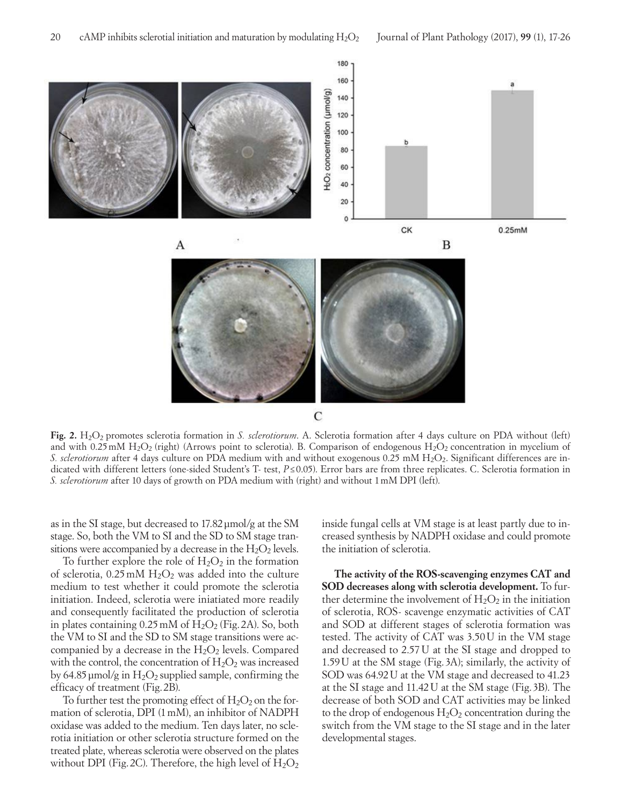

**Fig. 2.**  $H_2O_2$  promotes sclerotia formation in *S. sclerotiorum.* A. Sclerotia formation after 4 days culture on PDA without (left) and with 0.25 mM  $H_2O_2$  (right) (Arrows point to sclerotia). B. Comparison of endogenous  $H_2O_2$  concentration in mycelium of *S. sclerotiorum* after 4 days culture on PDA medium with and without exogenous 0.25 mM H<sub>2</sub>O<sub>2</sub>. Significant differences are indicated with different letters (one-sided Student's T- test, *P*≤ 0.05). Error bars are from three replicates. C. Sclerotia formation in *S. sclerotiorum* after 10 days of growth on PDA medium with (right) and without 1mM DPI (left).

as in the SI stage, but decreased to 17.82μmol/g at the SM stage. So, both the VM to SI and the SD to SM stage transitions were accompanied by a decrease in the  $H_2O_2$  levels.

To further explore the role of  $H_2O_2$  in the formation of sclerotia,  $0.25 \text{ mM } H_2O_2$  was added into the culture medium to test whether it could promote the sclerotia initiation. Indeed, sclerotia were iniatiated more readily and consequently facilitated the production of sclerotia in plates containing  $0.25$  mM of  $H<sub>2</sub>O<sub>2</sub>$  (Fig. 2A). So, both the VM to SI and the SD to SM stage transitions were accompanied by a decrease in the  $H_2O_2$  levels. Compared with the control, the concentration of  $H_2O_2$  was increased by 64.85  $\mu$ mol/g in H<sub>2</sub>O<sub>2</sub> supplied sample, confirming the efficacy of treatment (Fig.2B).

To further test the promoting effect of  $H_2O_2$  on the formation of sclerotia, DPI (1mM), an inhibitor of NADPH oxidase was added to the medium. Ten days later, no sclerotia initiation or other sclerotia structure formed on the treated plate, whereas sclerotia were observed on the plates without DPI (Fig. 2C). Therefore, the high level of  $H_2O_2$  inside fungal cells at VM stage is at least partly due to increased synthesis by NADPH oxidase and could promote the initiation of sclerotia.

**The activity of the ROS-scavenging enzymes CAT and SOD decreases along with sclerotia development.** To further determine the involvement of  $H_2O_2$  in the initiation of sclerotia, ROS- scavenge enzymatic activities of CAT and SOD at different stages of sclerotia formation was tested. The activity of CAT was 3.50U in the VM stage and decreased to 2.57U at the SI stage and dropped to 1.59U at the SM stage (Fig. 3A); similarly, the activity of SOD was 64.92U at the VM stage and decreased to 41.23 at the SI stage and 11.42U at the SM stage (Fig. 3B). The decrease of both SOD and CAT activities may be linked to the drop of endogenous  $H_2O_2$  concentration during the switch from the VM stage to the SI stage and in the later developmental stages.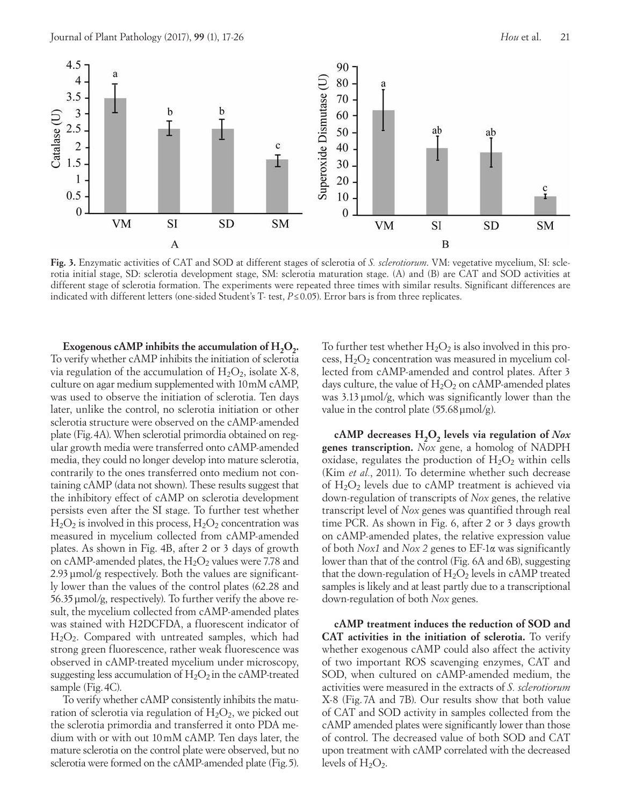

**Fig. 3.** Enzymatic activities of CAT and SOD at different stages of sclerotia of *S. sclerotiorum*. VM: vegetative mycelium, SI: sclerotia initial stage, SD: sclerotia development stage, SM: sclerotia maturation stage. (A) and (B) are CAT and SOD activities at different stage of sclerotia formation. The experiments were repeated three times with similar results. Significant differences are indicated with different letters (one-sided Student's T- test, *P*≤0.05). Error bars is from three replicates.

**Exogenous cAMP inhibits the accumulation of H<sub>2</sub>O<sub>2</sub>.** To verify whether cAMP inhibits the initiation of sclerotia via regulation of the accumulation of  $H_2O_2$ , isolate X-8, culture on agar medium supplemented with 10mM cAMP, was used to observe the initiation of sclerotia. Ten days later, unlike the control, no sclerotia initiation or other sclerotia structure were observed on the cAMP-amended plate (Fig.4A). When sclerotial primordia obtained on regular growth media were transferred onto cAMP-amended media, they could no longer develop into mature sclerotia, contrarily to the ones transferred onto medium not containing cAMP (data not shown). These results suggest that the inhibitory effect of cAMP on sclerotia development persists even after the SI stage. To further test whether  $H_2O_2$  is involved in this process,  $H_2O_2$  concentration was measured in mycelium collected from cAMP-amended plates. As shown in Fig. 4B, after 2 or 3 days of growth on cAMP-amended plates, the  $H_2O_2$  values were 7.78 and 2.93µmol/g respectively. Both the values are significantly lower than the values of the control plates (62.28 and 56.35µmol/g, respectively). To further verify the above result, the mycelium collected from cAMP-amended plates was stained with H2DCFDA, a fluorescent indicator of H2O2. Compared with untreated samples, which had strong green fluorescence, rather weak fluorescence was observed in cAMP-treated mycelium under microscopy, suggesting less accumulation of  $H_2O_2$  in the cAMP-treated sample (Fig.4C).

To verify whether cAMP consistently inhibits the maturation of sclerotia via regulation of  $H_2O_2$ , we picked out the sclerotia primordia and transferred it onto PDA medium with or with out 10mM cAMP. Ten days later, the mature sclerotia on the control plate were observed, but no sclerotia were formed on the cAMP-amended plate (Fig.5).

To further test whether  $H_2O_2$  is also involved in this process,  $H_2O_2$  concentration was measured in mycelium collected from cAMP-amended and control plates. After 3 days culture, the value of  $H_2O_2$  on cAMP-amended plates was 3.13µmol/g, which was significantly lower than the value in the control plate  $(55.68 \,\mu\text{mol/g})$ .

cAMP decreases H<sub>2</sub>O<sub>2</sub> levels via regulation of *Nox* **genes transcription.** *Nox* gene, a homolog of NADPH oxidase, regulates the production of  $H_2O_2$  within cells (Kim *et al.*, 2011). To determine whether such decrease of  $H_2O_2$  levels due to cAMP treatment is achieved via down-regulation of transcripts of *Nox* genes, the relative transcript level of *Nox* genes was quantified through real time PCR. As shown in Fig. 6, after 2 or 3 days growth on cAMP-amended plates, the relative expression value of both *Nox1* and *Nox 2* genes to EF-1α was significantly lower than that of the control (Fig. 6A and 6B), suggesting that the down-regulation of  $H_2O_2$  levels in cAMP treated samples is likely and at least partly due to a transcriptional down-regulation of both *Nox* genes.

**cAMP treatment induces the reduction of SOD and CAT activities in the initiation of sclerotia.** To verify whether exogenous cAMP could also affect the activity of two important ROS scavenging enzymes, CAT and SOD, when cultured on cAMP-amended medium, the activities were measured in the extracts of *S. sclerotiorum*  X-8 (Fig. 7A and 7B). Our results show that both value of CAT and SOD activity in samples collected from the cAMP amended plates were significantly lower than those of control. The decreased value of both SOD and CAT upon treatment with cAMP correlated with the decreased levels of  $H_2O_2$ .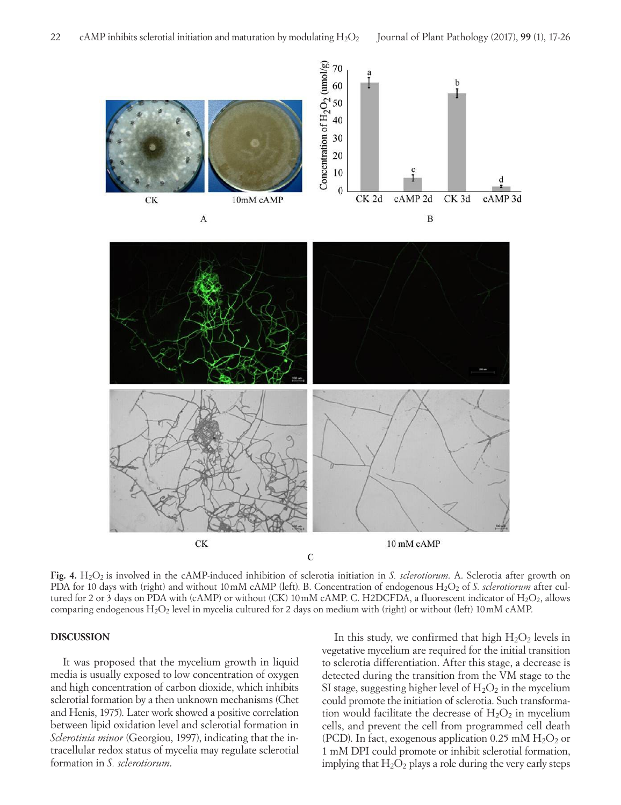

**Fig. 4.**  $H_2O_2$  is involved in the cAMP-induced inhibition of sclerotia initiation in *S. sclerotiorum*. A. Sclerotia after growth on PDA for 10 days with (right) and without 10mM cAMP (left). B. Concentration of endogenous H<sub>2</sub>O<sub>2</sub> of *S. sclerotiorum* after cultured for 2 or 3 days on PDA with (cAMP) or without (CK) 10mM cAMP. C. H2DCFDA, a fluorescent indicator of H<sub>2</sub>O<sub>2</sub>, allows comparing endogenous H2O2 level in mycelia cultured for 2 days on medium with (right) or without (left) 10mM cAMP.

#### **DISCUSSION**

It was proposed that the mycelium growth in liquid media is usually exposed to low concentration of oxygen and high concentration of carbon dioxide, which inhibits sclerotial formation by a then unknown mechanisms (Chet and Henis, 1975). Later work showed a positive correlation between lipid oxidation level and sclerotial formation in *Sclerotinia minor* (Georgiou, 1997), indicating that the intracellular redox status of mycelia may regulate sclerotial formation in *S. sclerotiorum*.

In this study, we confirmed that high  $H_2O_2$  levels in vegetative mycelium are required for the initial transition to sclerotia differentiation. After this stage, a decrease is detected during the transition from the VM stage to the SI stage, suggesting higher level of  $H_2O_2$  in the mycelium could promote the initiation of sclerotia. Such transformation would facilitate the decrease of  $H_2O_2$  in mycelium cells, and prevent the cell from programmed cell death (PCD). In fact, exogenous application 0.25 mM  $H_2O_2$  or 1 mM DPI could promote or inhibit sclerotial formation, implying that  $H_2O_2$  plays a role during the very early steps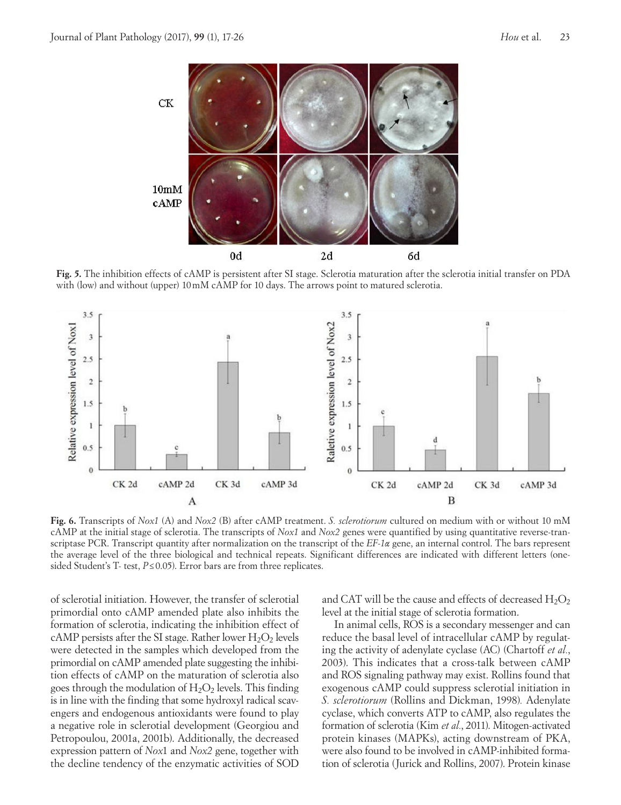

**Fig. 5.** The inhibition effects of cAMP is persistent after SI stage. Sclerotia maturation after the sclerotia initial transfer on PDA with (low) and without (upper) 10mM cAMP for 10 days. The arrows point to matured sclerotia.



**Fig. 6.** Transcripts of *Nox1* (A) and *Nox2* (B) after cAMP treatment. *S. sclerotiorum* cultured on medium with or without 10 mM cAMP at the initial stage of sclerotia. The transcripts of *Nox1* and *Nox2* genes were quantified by using quantitative reverse-transcriptase PCR. Transcript quantity after normalization on the transcript of the *EF-1α* gene, an internal control. The bars represent the average level of the three biological and technical repeats. Significant differences are indicated with different letters (onesided Student's T- test, *P*≤ 0.05). Error bars are from three replicates.

of sclerotial initiation. However, the transfer of sclerotial primordial onto cAMP amended plate also inhibits the formation of sclerotia, indicating the inhibition effect of cAMP persists after the SI stage. Rather lower  $H_2O_2$  levels were detected in the samples which developed from the primordial on cAMP amended plate suggesting the inhibition effects of cAMP on the maturation of sclerotia also goes through the modulation of  $H_2O_2$  levels. This finding is in line with the finding that some hydroxyl radical scavengers and endogenous antioxidants were found to play a negative role in sclerotial development (Georgiou and Petropoulou, 2001a, 2001b). Additionally, the decreased expression pattern of *Nox*1 and *Nox2* gene, together with the decline tendency of the enzymatic activities of SOD and CAT will be the cause and effects of decreased  $H_2O_2$ level at the initial stage of sclerotia formation.

In animal cells, ROS is a secondary messenger and can reduce the basal level of intracellular cAMP by regulating the activity of adenylate cyclase (AC) (Chartoff *et al.*, 2003). This indicates that a cross-talk between cAMP and ROS signaling pathway may exist. Rollins found that exogenous cAMP could suppress sclerotial initiation in *S. sclerotiorum* (Rollins and Dickman, 1998)*.* Adenylate cyclase, which converts ATP to cAMP, also regulates the formation of sclerotia (Kim *et al.*, 2011). Mitogen-activated protein kinases (MAPKs), acting downstream of PKA, were also found to be involved in cAMP-inhibited formation of sclerotia (Jurick and Rollins, 2007). Protein kinase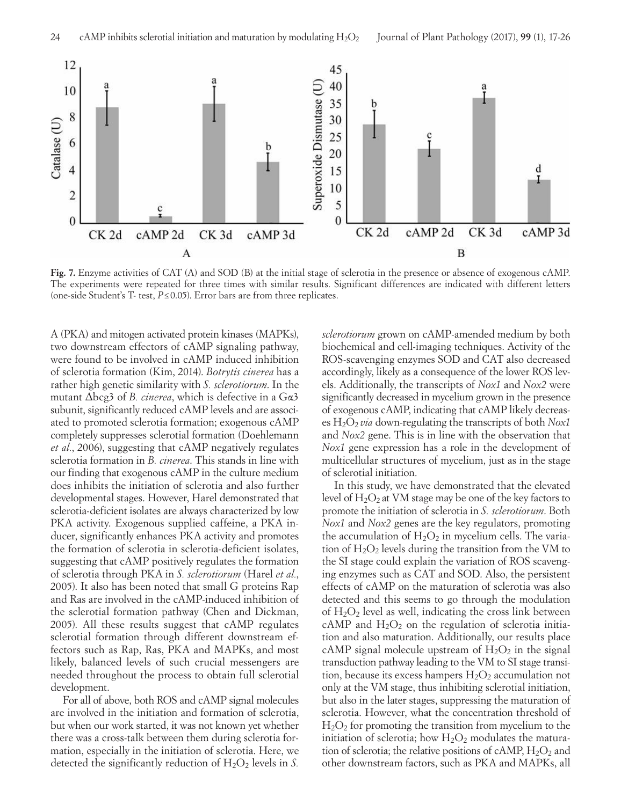

**Fig. 7.** Enzyme activities of CAT (A) and SOD (B) at the initial stage of sclerotia in the presence or absence of exogenous cAMP. The experiments were repeated for three times with similar results. Significant differences are indicated with different letters (one-side Student's T- test, *P*≤ 0.05). Error bars are from three replicates.

A (PKA) and mitogen activated protein kinases (MAPKs), two downstream effectors of cAMP signaling pathway, were found to be involved in cAMP induced inhibition of sclerotia formation (Kim, 2014). *Botrytis cinerea* has a rather high genetic similarity with *S. sclerotiorum*. In the mutant Δbcg3 of *B. cinerea*, which is defective in a Gα3 subunit, significantly reduced cAMP levels and are associated to promoted sclerotia formation; exogenous cAMP completely suppresses sclerotial formation (Doehlemann *et al.*, 2006), suggesting that cAMP negatively regulates sclerotia formation in *B. cinerea*. This stands in line with our finding that exogenous cAMP in the culture medium does inhibits the initiation of sclerotia and also further developmental stages. However, Harel demonstrated that sclerotia-deficient isolates are always characterized by low PKA activity. Exogenous supplied caffeine, a PKA inducer, significantly enhances PKA activity and promotes the formation of sclerotia in sclerotia-deficient isolates, suggesting that cAMP positively regulates the formation of sclerotia through PKA in *S. sclerotiorum* (Harel *et al.*, 2005). It also has been noted that small G proteins Rap and Ras are involved in the cAMP-induced inhibition of the sclerotial formation pathway (Chen and Dickman, 2005). All these results suggest that cAMP regulates sclerotial formation through different downstream effectors such as Rap, Ras, PKA and MAPKs, and most likely, balanced levels of such crucial messengers are needed throughout the process to obtain full sclerotial development.

For all of above, both ROS and cAMP signal molecules are involved in the initiation and formation of sclerotia, but when our work started, it was not known yet whether there was a cross-talk between them during sclerotia formation, especially in the initiation of sclerotia. Here, we detected the significantly reduction of  $H_2O_2$  levels in *S*.

*sclerotiorum* grown on cAMP-amended medium by both biochemical and cell-imaging techniques. Activity of the ROS-scavenging enzymes SOD and CAT also decreased accordingly, likely as a consequence of the lower ROS levels. Additionally, the transcripts of *Nox1* and *Nox2* were significantly decreased in mycelium grown in the presence of exogenous cAMP, indicating that cAMP likely decreases H2O2 *via* down-regulating the transcripts of both *Nox1* and *Nox2* gene. This is in line with the observation that *Nox1* gene expression has a role in the development of multicellular structures of mycelium, just as in the stage of sclerotial initiation.

In this study, we have demonstrated that the elevated level of  $H_2O_2$  at VM stage may be one of the key factors to promote the initiation of sclerotia in *S. sclerotiorum*. Both *Nox1* and *Nox2* genes are the key regulators, promoting the accumulation of  $H_2O_2$  in mycelium cells. The variation of  $H_2O_2$  levels during the transition from the VM to the SI stage could explain the variation of ROS scavenging enzymes such as CAT and SOD. Also, the persistent effects of cAMP on the maturation of sclerotia was also detected and this seems to go through the modulation of  $H_2O_2$  level as well, indicating the cross link between cAMP and  $H_2O_2$  on the regulation of sclerotia initiation and also maturation. Additionally, our results place cAMP signal molecule upstream of  $H_2O_2$  in the signal transduction pathway leading to the VM to SI stage transition, because its excess hampers  $H_2O_2$  accumulation not only at the VM stage, thus inhibiting sclerotial initiation, but also in the later stages, suppressing the maturation of sclerotia. However, what the concentration threshold of  $H<sub>2</sub>O<sub>2</sub>$  for promoting the transition from mycelium to the initiation of sclerotia; how  $H_2O_2$  modulates the maturation of sclerotia; the relative positions of cAMP,  $H_2O_2$  and other downstream factors, such as PKA and MAPKs, all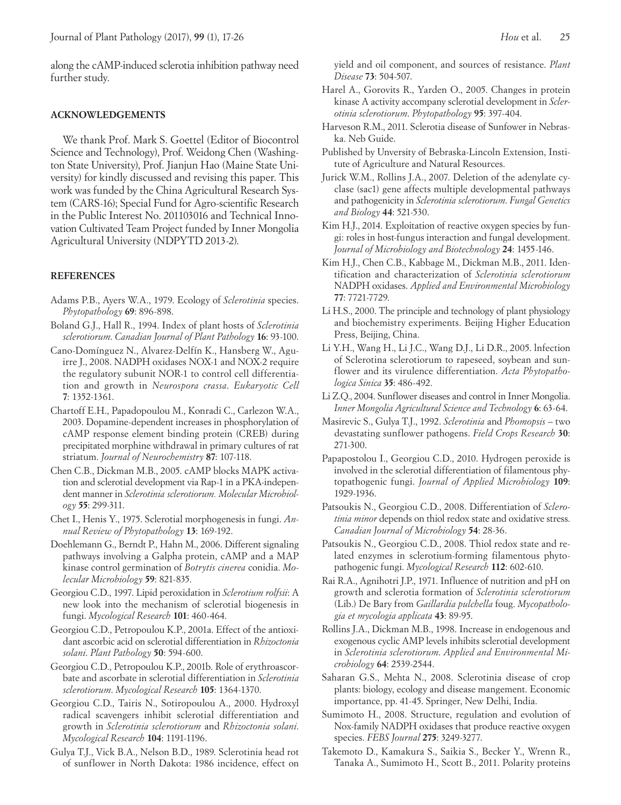along the cAMP-induced sclerotia inhibition pathway need further study.

#### **ACKNOWLEDGEMENTS**

We thank Prof. Mark S. Goettel (Editor of Biocontrol Science and Technology), Prof. Weidong Chen (Washington State University), Prof. Jianjun Hao (Maine State University) for kindly discussed and revising this paper. This work was funded by the China Agricultural Research System (CARS-16); Special Fund for Agro-scientific Research in the Public Interest No. 201103016 and Technical Innovation Cultivated Team Project funded by Inner Mongolia Agricultural University (NDPYTD 2013-2).

#### **REFERENCES**

- Adams P.B., Ayers W.A., 1979. Ecology of *Sclerotinia* species. *Phytopathology* **69**: 896-898.
- Boland G.J., Hall R., 1994. Index of plant hosts of *Sclerotinia sclerotiorum*. *Canadian Journal of Plant Pathology* **16**: 93-100.
- Cano-Domínguez N., Alvarez-Delfín K., Hansberg W., Aguirre J., 2008. NADPH oxidases NOX-1 and NOX-2 require the regulatory subunit NOR-1 to control cell differentiation and growth in *Neurospora crassa*. *Eukaryotic Cell* **7**: 1352-1361.
- Chartoff E.H., Papadopoulou M., Konradi C., Carlezon W.A., 2003. Dopamine-dependent increases in phosphorylation of cAMP response element binding protein (CREB) during precipitated morphine withdrawal in primary cultures of rat striatum. *Journal of Neurochemistry* **87**: 107-118.
- Chen C.B., Dickman M.B., 2005. cAMP blocks MAPK activation and sclerotial development via Rap-1 in a PKA-independent manner in *Sclerotinia sclerotiorum. Molecular Microbiology* **55**: 299-311.
- Chet I., Henis Y., 1975. Sclerotial morphogenesis in fungi. *Annual Review of Phytopathology* **13**: 169-192.
- Doehlemann G., Berndt P., Hahn M., 2006. Different signaling pathways involving a Galpha protein, cAMP and a MAP kinase control germination of *Botrytis cinerea* conidia. *Molecular Microbiology* **59**: 821-835.
- Georgiou C.D., 1997. Lipid peroxidation in *Sclerotium rolfsii*: A new look into the mechanism of sclerotial biogenesis in fungi. *Mycological Research* **101**: 460-464.
- Georgiou C.D., Petropoulou K.P., 2001a. Effect of the antioxidant ascorbic acid on sclerotial differentiation in *Rhizoctonia solani*. *Plant Pathology* **50**: 594-600.
- Georgiou C.D., Petropoulou K.P., 2001b. Role of erythroascorbate and ascorbate in sclerotial differentiation in *Sclerotinia sclerotiorum*. *Mycological Research* **105**: 1364-1370.
- Georgiou C.D., Tairis N., Sotiropoulou A., 2000. Hydroxyl radical scavengers inhibit sclerotial differentiation and growth in *Sclerotinia sclerotiorum* and *Rhizoctonia solani*. *Mycological Research* **104**: 1191-1196.
- Gulya T.J., Vick B.A., Nelson B.D., 1989. Sclerotinia head rot of sunflower in North Dakota: 1986 incidence, effect on

yield and oil component, and sources of resistance. *Plant Disease* **73**: 504-507.

- Harel A., Gorovits R., Yarden O., 2005. Changes in protein kinase A activity accompany sclerotial development in *Sclerotinia sclerotiorum*. *Phytopathology* **95**: 397-404.
- Harveson R.M., 2011. Sclerotia disease of Sunfower in Nebraska. Neb Guide.
- Published by Unversity of Bebraska-Lincoln Extension, Institute of Agriculture and Natural Resources.
- Jurick W.M., Rollins J.A., 2007. Deletion of the adenylate cyclase (sac1) gene affects multiple developmental pathways and pathogenicity in *Sclerotinia sclerotiorum*. *Fungal Genetics and Biology* **44**: 521-530.
- Kim H.J., 2014. Exploitation of reactive oxygen species by fungi: roles in host-fungus interaction and fungal development. *Journal of Microbiology and Biotechnology* **24**: 1455-146.
- Kim H.J., Chen C.B., Kabbage M., Dickman M.B., 2011. Identification and characterization of *Sclerotinia sclerotiorum* NADPH oxidases. *Applied and Environmental Microbiology* **77**: 7721-7729.
- Li H.S., 2000. The principle and technology of plant physiology and biochemistry experiments. Beijing Higher Education Press, Beijing, China.
- Li Y.H., Wang H., Li J.C., Wang D.J., Li D.R., 2005. lnfection of Sclerotina sclerotiorum to rapeseed, soybean and sunflower and its virulence differentiation. *Acta Phytopathologica Sinica* **35**: 486-492.
- Li Z.Q., 2004. Sunflower diseases and control in Inner Mongolia. *Inner Mongolia Agricultural Science and Technology* **6**: 63-64.
- Masirevic S., Gulya T.J., 1992. *Sclerotinia* and *Phomopsis* two devastating sunflower pathogens. *Field Crops Research* **30**: 271-300.
- Papapostolou I., Georgiou C.D., 2010. Hydrogen peroxide is involved in the sclerotial differentiation of filamentous phytopathogenic fungi. *Journal of Applied Microbiology* **109**: 1929-1936.
- Patsoukis N., Georgiou C.D., 2008. Differentiation of *Sclerotinia minor* depends on thiol redox state and oxidative stress. *Canadian Journal of Microbiology* **54**: 28-36.
- Patsoukis N., Georgiou C.D., 2008. Thiol redox state and related enzymes in sclerotium-forming filamentous phytopathogenic fungi. *Mycological Research* **112**: 602-610.
- Rai R.A., Agnihotri J.P., 1971. Influence of nutrition and pH on growth and sclerotia formation of *Sclerotinia sclerotiorum* (Lib.) De Bary from *Gaillardia pulchella* foug. *Mycopathologia et mycologia applicata* **43**: 89-95.
- Rollins J.A., Dickman M.B., 1998. Increase in endogenous and exogenous cyclic AMP levels inhibits sclerotial development in *Sclerotinia sclerotiorum*. *Applied and Environmental Microbiology* **64**: 2539-2544.
- Saharan G.S., Mehta N., 2008. Sclerotinia disease of crop plants: biology, ecology and disease mangement. Economic importance, pp. 41-45. Springer, New Delhi, India.
- Sumimoto H., 2008. Structure, regulation and evolution of Nox-family NADPH oxidases that produce reactive oxygen species. *FEBS Journal* **275**: 3249-3277.
- Takemoto D., Kamakura S., Saikia S., Becker Y., Wrenn R., Tanaka A., Sumimoto H., Scott B., 2011. Polarity proteins